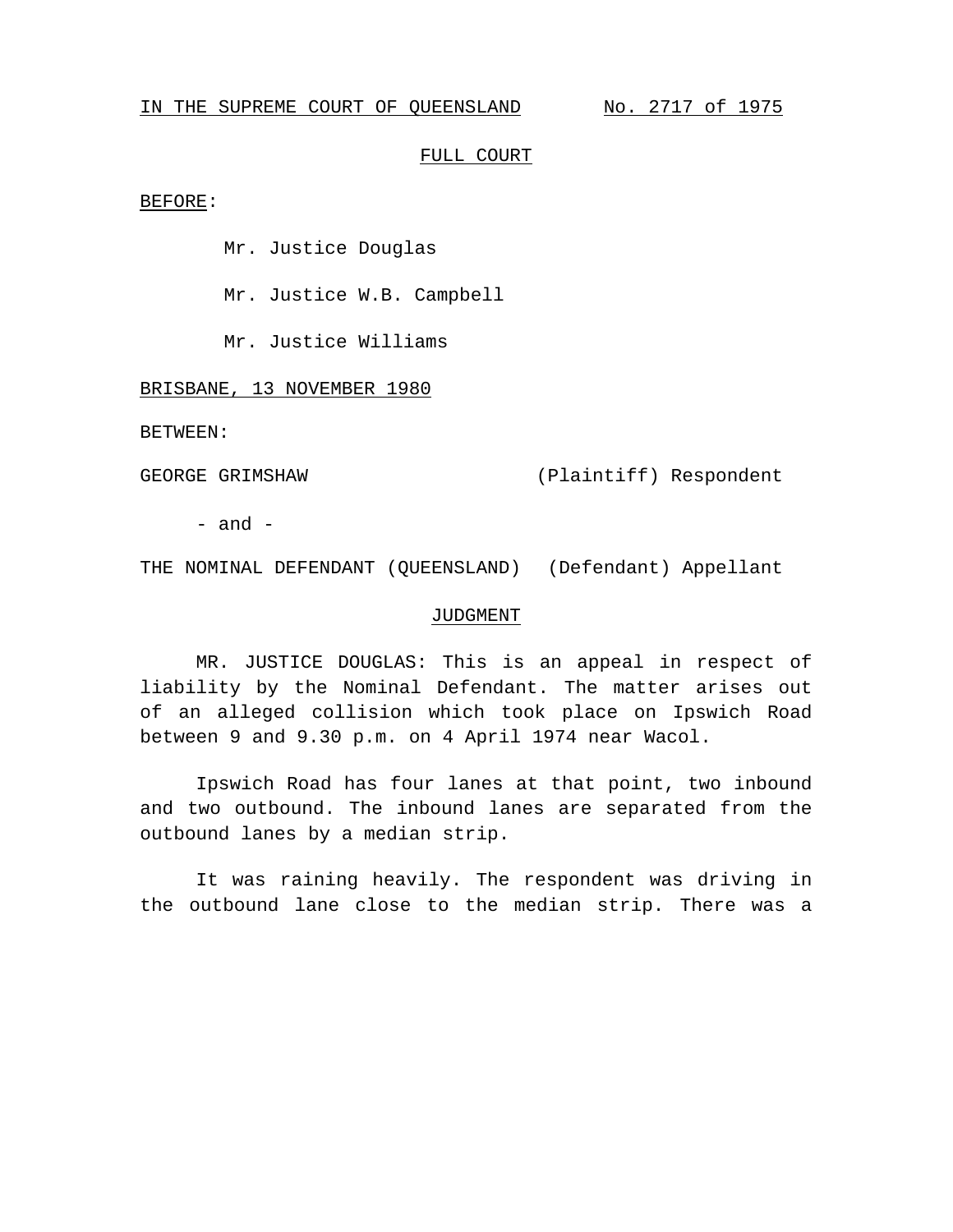## IN THE SUPREME COURT OF QUEENSLAND No. 2717 of 1975

## FULL COURT

BEFORE:

Mr. Justice Douglas

Mr. Justice W.B. Campbell

Mr. Justice Williams

BRISBANE, 13 NOVEMBER 1980

BETWEEN:

GEORGE GRIMSHAW (Plaintiff) Respondent

 $-$  and  $-$ 

THE NOMINAL DEFENDANT (QUEENSLAND) (Defendant) Appellant

## JUDGMENT

MR. JUSTICE DOUGLAS: This is an appeal in respect of liability by the Nominal Defendant. The matter arises out of an alleged collision which took place on Ipswich Road between 9 and 9.30 p.m. on 4 April 1974 near Wacol.

Ipswich Road has four lanes at that point, two inbound and two outbound. The inbound lanes are separated from the outbound lanes by a median strip.

It was raining heavily. The respondent was driving in the outbound lane close to the median strip. There was a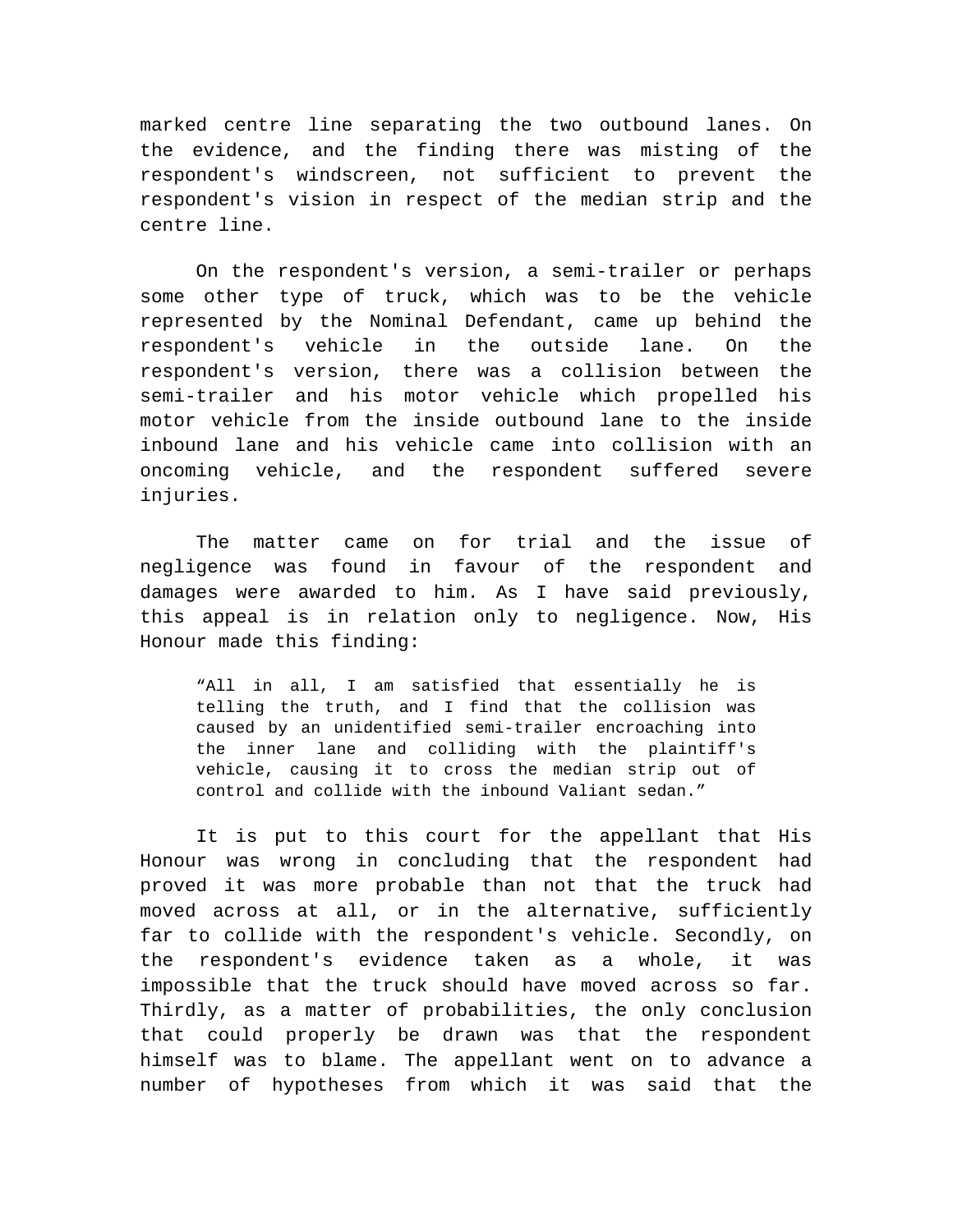marked centre line separating the two outbound lanes. On the evidence, and the finding there was misting of the respondent's windscreen, not sufficient to prevent the respondent's vision in respect of the median strip and the centre line.

On the respondent's version, a semi-trailer or perhaps some other type of truck, which was to be the vehicle represented by the Nominal Defendant, came up behind the respondent's vehicle in the outside lane. On the respondent's version, there was a collision between the semi-trailer and his motor vehicle which propelled his motor vehicle from the inside outbound lane to the inside inbound lane and his vehicle came into collision with an oncoming vehicle, and the respondent suffered severe injuries.

The matter came on for trial and the issue of negligence was found in favour of the respondent and damages were awarded to him. As I have said previously, this appeal is in relation only to negligence. Now, His Honour made this finding:

"All in all, I am satisfied that essentially he is telling the truth, and I find that the collision was caused by an unidentified semi-trailer encroaching into the inner lane and colliding with the plaintiff's vehicle, causing it to cross the median strip out of control and collide with the inbound Valiant sedan."

It is put to this court for the appellant that His Honour was wrong in concluding that the respondent had proved it was more probable than not that the truck had moved across at all, or in the alternative, sufficiently far to collide with the respondent's vehicle. Secondly, on the respondent's evidence taken as a whole, it was impossible that the truck should have moved across so far. Thirdly, as a matter of probabilities, the only conclusion that could properly be drawn was that the respondent himself was to blame. The appellant went on to advance a number of hypotheses from which it was said that the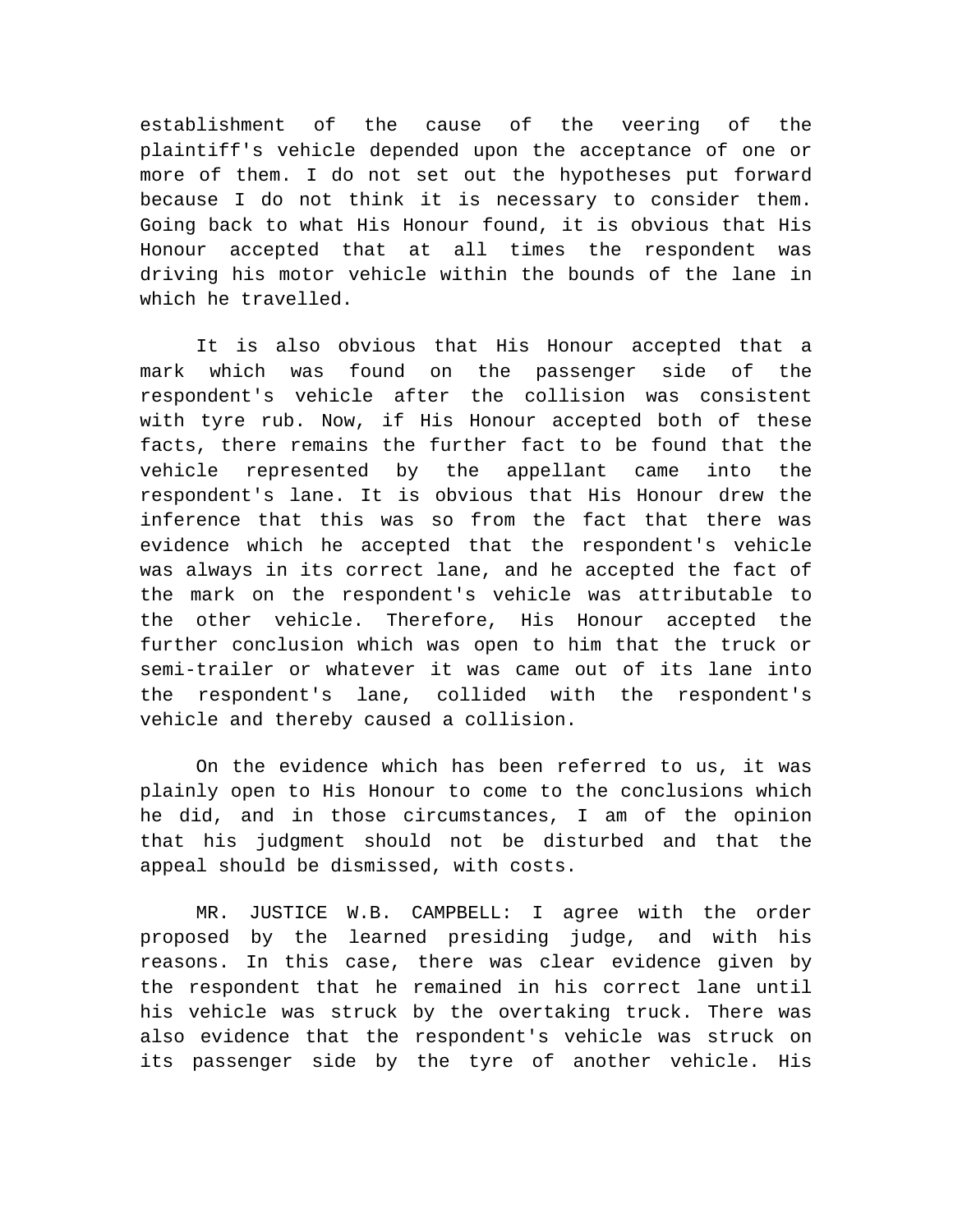establishment of the cause of the veering of the plaintiff's vehicle depended upon the acceptance of one or more of them. I do not set out the hypotheses put forward because I do not think it is necessary to consider them. Going back to what His Honour found, it is obvious that His Honour accepted that at all times the respondent was driving his motor vehicle within the bounds of the lane in which he travelled.

It is also obvious that His Honour accepted that a mark which was found on the passenger side of the respondent's vehicle after the collision was consistent with tyre rub. Now, if His Honour accepted both of these facts, there remains the further fact to be found that the vehicle represented by the appellant came into the respondent's lane. It is obvious that His Honour drew the inference that this was so from the fact that there was evidence which he accepted that the respondent's vehicle was always in its correct lane, and he accepted the fact of the mark on the respondent's vehicle was attributable to the other vehicle. Therefore, His Honour accepted the further conclusion which was open to him that the truck or semi-trailer or whatever it was came out of its lane into the respondent's lane, collided with the respondent's vehicle and thereby caused a collision.

On the evidence which has been referred to us, it was plainly open to His Honour to come to the conclusions which he did, and in those circumstances, I am of the opinion that his judgment should not be disturbed and that the appeal should be dismissed, with costs.

MR. JUSTICE W.B. CAMPBELL: I agree with the order proposed by the learned presiding judge, and with his reasons. In this case, there was clear evidence given by the respondent that he remained in his correct lane until his vehicle was struck by the overtaking truck. There was also evidence that the respondent's vehicle was struck on its passenger side by the tyre of another vehicle. His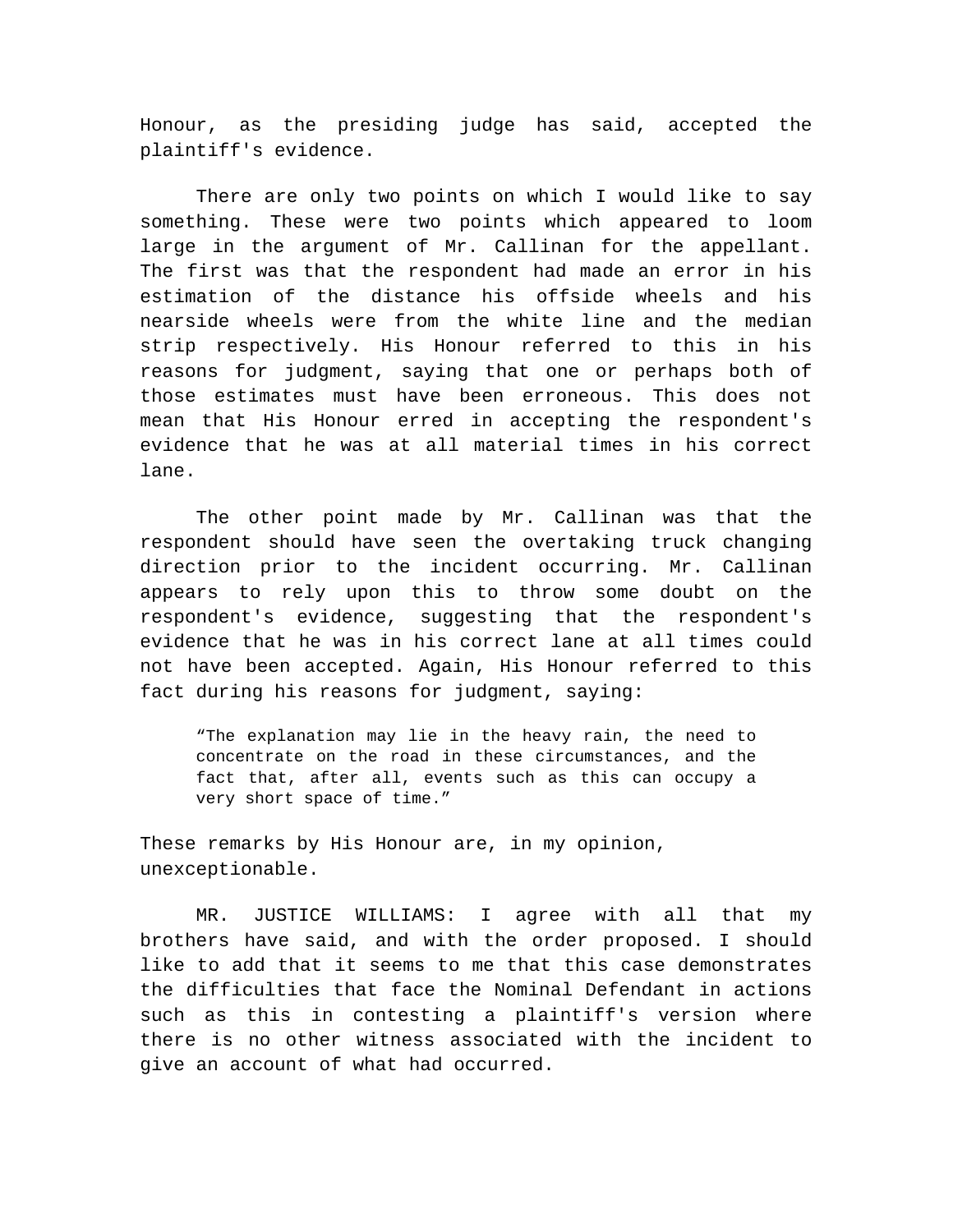Honour, as the presiding judge has said, accepted the plaintiff's evidence.

There are only two points on which I would like to say something. These were two points which appeared to loom large in the argument of Mr. Callinan for the appellant. The first was that the respondent had made an error in his estimation of the distance his offside wheels and his nearside wheels were from the white line and the median strip respectively. His Honour referred to this in his reasons for judgment, saying that one or perhaps both of those estimates must have been erroneous. This does not mean that His Honour erred in accepting the respondent's evidence that he was at all material times in his correct lane.

The other point made by Mr. Callinan was that the respondent should have seen the overtaking truck changing direction prior to the incident occurring. Mr. Callinan appears to rely upon this to throw some doubt on the respondent's evidence, suggesting that the respondent's evidence that he was in his correct lane at all times could not have been accepted. Again, His Honour referred to this fact during his reasons for judgment, saying:

"The explanation may lie in the heavy rain, the need to concentrate on the road in these circumstances, and the fact that, after all, events such as this can occupy a very short space of time."

These remarks by His Honour are, in my opinion, unexceptionable.

MR. JUSTICE WILLIAMS: I agree with all that my brothers have said, and with the order proposed. I should like to add that it seems to me that this case demonstrates the difficulties that face the Nominal Defendant in actions such as this in contesting a plaintiff's version where there is no other witness associated with the incident to give an account of what had occurred.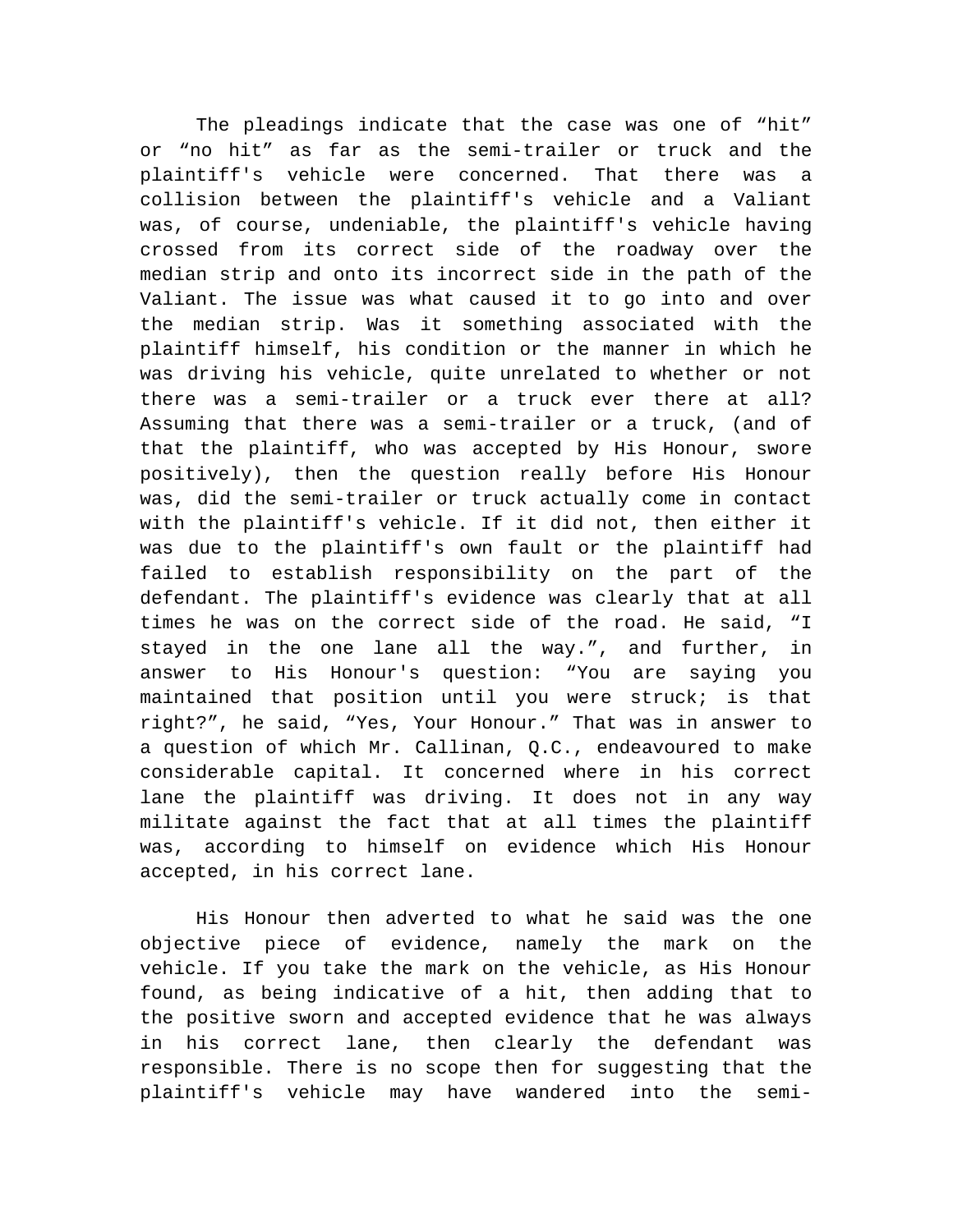The pleadings indicate that the case was one of "hit" or "no hit" as far as the semi-trailer or truck and the plaintiff's vehicle were concerned. That there was a collision between the plaintiff's vehicle and a Valiant was, of course, undeniable, the plaintiff's vehicle having crossed from its correct side of the roadway over the median strip and onto its incorrect side in the path of the Valiant. The issue was what caused it to go into and over the median strip. Was it something associated with the plaintiff himself, his condition or the manner in which he was driving his vehicle, quite unrelated to whether or not there was a semi-trailer or a truck ever there at all? Assuming that there was a semi-trailer or a truck, (and of that the plaintiff, who was accepted by His Honour, swore positively), then the question really before His Honour was, did the semi-trailer or truck actually come in contact with the plaintiff's vehicle. If it did not, then either it was due to the plaintiff's own fault or the plaintiff had failed to establish responsibility on the part of the defendant. The plaintiff's evidence was clearly that at all times he was on the correct side of the road. He said, "I stayed in the one lane all the way.", and further, in answer to His Honour's question: "You are saying you maintained that position until you were struck; is that right?", he said, "Yes, Your Honour." That was in answer to a question of which Mr. Callinan, Q.C., endeavoured to make considerable capital. It concerned where in his correct lane the plaintiff was driving. It does not in any way militate against the fact that at all times the plaintiff was, according to himself on evidence which His Honour accepted, in his correct lane.

His Honour then adverted to what he said was the one objective piece of evidence, namely the mark on the vehicle. If you take the mark on the vehicle, as His Honour found, as being indicative of a hit, then adding that to the positive sworn and accepted evidence that he was always in his correct lane, then clearly the defendant was responsible. There is no scope then for suggesting that the plaintiff's vehicle may have wandered into the semi-